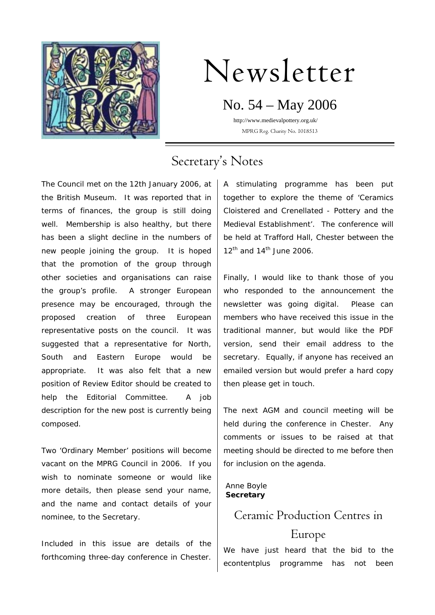

# Newsletter

## No. 54 – May 2006

 http://www.medievalpottery.org.uk/ MPRG Reg. Charity No. 1018513

# Secretary's Notes

The Council met on the 12th January 2006, at the British Museum. It was reported that in terms of finances, the group is still doing well. Membership is also healthy, but there has been a slight decline in the numbers of new people joining the group. It is hoped that the promotion of the group through other societies and organisations can raise the group's profile. A stronger European presence may be encouraged, through the proposed creation of three European representative posts on the council. It was suggested that a representative for North, South and Eastern Europe would be appropriate. It was also felt that a new position of Review Editor should be created to help the Editorial Committee. A job description for the new post is currently being composed.

Two 'Ordinary Member' positions will become vacant on the MPRG Council in 2006. If you wish to nominate someone or would like more details, then please send your name, and the name and contact details of your nominee, to the Secretary.

Included in this issue are details of the forthcoming three-day conference in Chester.

A stimulating programme has been put together to explore the theme of 'Ceramics Cloistered and Crenellated - Pottery and the Medieval Establishment'. The conference will be held at Trafford Hall, Chester between the  $12<sup>th</sup>$  and  $14<sup>th</sup>$  June 2006.

Finally, I would like to thank those of you who responded to the announcement the newsletter was going digital. Please can members who have received this issue in the traditional manner, but would like the PDF version, send their email address to the secretary. Equally, if anyone has received an emailed version but would prefer a hard copy then please get in touch.

The next AGM and council meeting will be held during the conference in Chester. Any comments or issues to be raised at that meeting should be directed to me before then for inclusion on the agenda.

#### Anne Boyle **Secretary**

### Ceramic Production Centres in

### Europe

We have just heard that the bid to the econtentplus programme has not been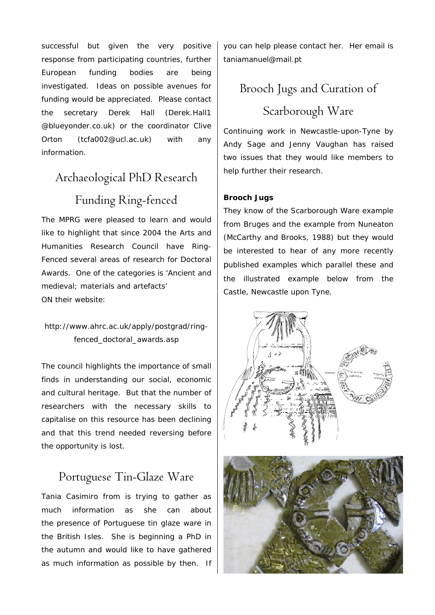successful but given the very positive response from participating countries, further European funding bodies are being investigated. Ideas on possible avenues for funding would be appreciated. Please contact the secretary Derek Hall (Derek.Hall1 @blueyonder.co.uk) or the coordinator Clive Orton (tcfa002@ucl.ac.uk) with any information.

# Archaeological PhD Research Funding Ring-fenced

The MPRG were pleased to learn and would like to highlight that since 2004 the Arts and Humanities Research Council have Ring-Fenced several areas of research for Doctoral Awards. One of the categories is 'Ancient and medieval; materials and artefacts' ON their website:

### http://www.ahrc.ac.uk/apply/postgrad/ringfenced\_doctoral\_awards.asp

The council highlights the importance of small finds in understanding our social, economic and cultural heritage. But that the number of researchers with the necessary skills to capitalise on this resource has been declining and that this trend needed reversing before the opportunity is lost.

### Portuguese Tin-Glaze Ware

Tania Casimiro from is trying to gather as much information as she can about the presence of Portuguese tin glaze ware in the British Isles. She is beginning a PhD in the autumn and would like to have gathered as much information as possible by then. If you can help please contact her. Her email is taniamanuel@mail.pt

# Brooch Jugs and Curation of Scarborough Ware

Continuing work in Newcastle-upon-Tyne by Andy Sage and Jenny Vaughan has raised two issues that they would like members to help further their research.

### **Brooch Jugs**

They know of the Scarborough Ware example from Bruges and the example from Nuneaton (McCarthy and Brooks, 1988) but they would be interested to hear of any more recently published examples which parallel these and the illustrated example below from the Castle, Newcastle upon Tyne.

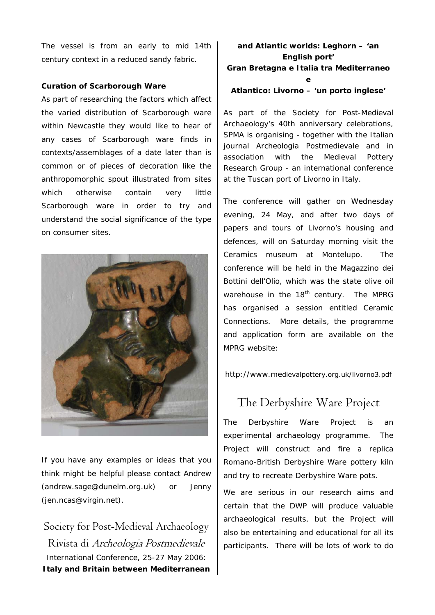The vessel is from an early to mid 14th century context in a reduced sandy fabric.

#### **Curation of Scarborough Ware**

As part of researching the factors which affect the varied distribution of Scarborough ware within Newcastle they would like to hear of any cases of Scarborough ware finds in contexts/assemblages of a date later than is common or of pieces of decoration like the anthropomorphic spout illustrated from sites which otherwise contain very little Scarborough ware in order to try and understand the social significance of the type on consumer sites.



If you have any examples or ideas that you think might be helpful please contact Andrew (andrew.sage@dunelm.org.uk) or Jenny (jen.ncas@virgin.net).

Society for Post-Medieval Archaeology Rivista di Archeologia Postmedievale International Conference, 25-27 May 2006: **Italy and Britain between Mediterranean** 

### **and Atlantic worlds: Leghorn – 'an English port' Gran Bretagna e Italia tra Mediterraneo e**

#### **Atlantico: Livorno – 'un porto inglese'**

As part of the Society for Post-Medieval Archaeology's 40th anniversary celebrations, SPMA is organising - together with the Italian journal *Archeologia Postmedievale* and in association with the Medieval Pottery Research Group - an international conference at the Tuscan port of Livorno in Italy.

The conference will gather on Wednesday evening, 24 May, and after two days of papers and tours of Livorno's housing and defences, will on Saturday morning visit the Ceramics museum at Montelupo. The conference will be held in the Magazzino dei Bottini dell'Olio, which was the state olive oil warehouse in the  $18<sup>th</sup>$  century. The MPRG has organised a session entitled *Ceramic Connections*. More details, the programme and application form are available on the MPRG website:

http://www.medievalpottery.org.uk/livorno3.pdf

### The Derbyshire Ware Project

The Derbyshire Ware Project is an experimental archaeology programme. The Project will construct and fire a replica Romano-British Derbyshire Ware pottery kiln and try to recreate Derbyshire Ware pots.

We are serious in our research aims and certain that the DWP will produce valuable archaeological results, but the Project will also be entertaining and educational for all its participants. There will be lots of work to do